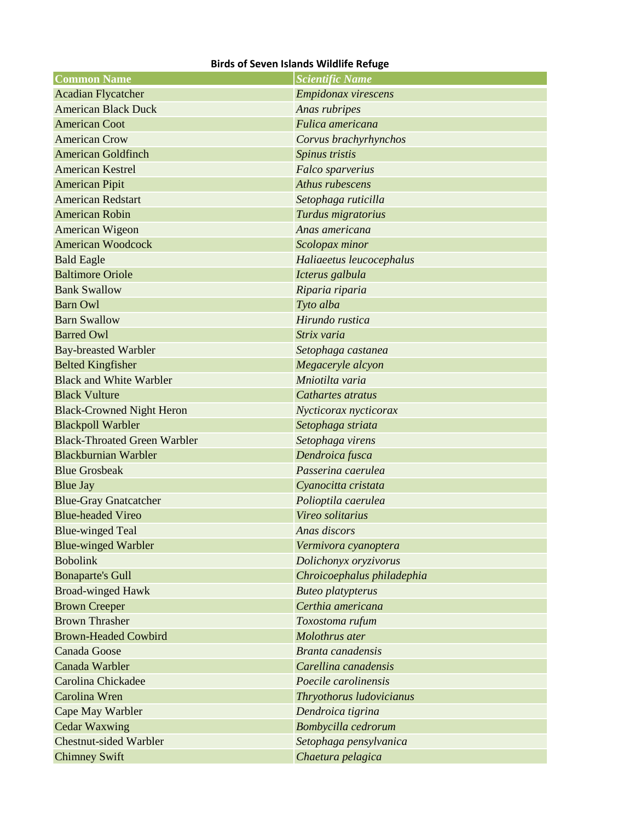## **Birds of Seven Islands Wildlife Refuge**

| <b>Common Name</b>                  | <b>Scientific Name</b>     |
|-------------------------------------|----------------------------|
| <b>Acadian Flycatcher</b>           | Empidonax virescens        |
| <b>American Black Duck</b>          | Anas rubripes              |
| <b>American Coot</b>                | Fulica americana           |
| <b>American Crow</b>                | Corvus brachyrhynchos      |
| <b>American Goldfinch</b>           | Spinus tristis             |
| <b>American Kestrel</b>             | Falco sparverius           |
| <b>American Pipit</b>               | Athus rubescens            |
| <b>American Redstart</b>            | Setophaga ruticilla        |
| <b>American Robin</b>               | Turdus migratorius         |
| American Wigeon                     | Anas americana             |
| <b>American Woodcock</b>            | Scolopax minor             |
| <b>Bald Eagle</b>                   | Haliaeetus leucocephalus   |
| <b>Baltimore Oriole</b>             | Icterus galbula            |
| <b>Bank Swallow</b>                 | Riparia riparia            |
| <b>Barn Owl</b>                     | Tyto alba                  |
| <b>Barn Swallow</b>                 | Hirundo rustica            |
| <b>Barred Owl</b>                   | Strix varia                |
| <b>Bay-breasted Warbler</b>         | Setophaga castanea         |
| <b>Belted Kingfisher</b>            | Megaceryle alcyon          |
| <b>Black and White Warbler</b>      | Mniotilta varia            |
| <b>Black Vulture</b>                | Cathartes atratus          |
| <b>Black-Crowned Night Heron</b>    | Nycticorax nycticorax      |
| <b>Blackpoll Warbler</b>            | Setophaga striata          |
| <b>Black-Throated Green Warbler</b> | Setophaga virens           |
| <b>Blackburnian Warbler</b>         | Dendroica fusca            |
| <b>Blue Grosbeak</b>                | Passerina caerulea         |
| <b>Blue Jay</b>                     | Cyanocitta cristata        |
| <b>Blue-Gray Gnatcatcher</b>        | Polioptila caerulea        |
| <b>Blue-headed Vireo</b>            | Vireo solitarius           |
| <b>Blue-winged Teal</b>             | Anas discors               |
| <b>Blue-winged Warbler</b>          | Vermivora cyanoptera       |
| <b>Bobolink</b>                     | Dolichonyx oryzivorus      |
| <b>Bonaparte's Gull</b>             | Chroicoephalus philadephia |
| <b>Broad-winged Hawk</b>            | <b>Buteo platypterus</b>   |
| <b>Brown Creeper</b>                | Certhia americana          |
| <b>Brown Thrasher</b>               | Toxostoma rufum            |
| <b>Brown-Headed Cowbird</b>         | Molothrus ater             |
| <b>Canada Goose</b>                 | Branta canadensis          |
| Canada Warbler                      | Carellina canadensis       |
| Carolina Chickadee                  | Poecile carolinensis       |
| Carolina Wren                       | Thryothorus ludovicianus   |
| Cape May Warbler                    | Dendroica tigrina          |
| <b>Cedar Waxwing</b>                | Bombycilla cedrorum        |
| <b>Chestnut-sided Warbler</b>       | Setophaga pensylvanica     |
| <b>Chimney Swift</b>                | Chaetura pelagica          |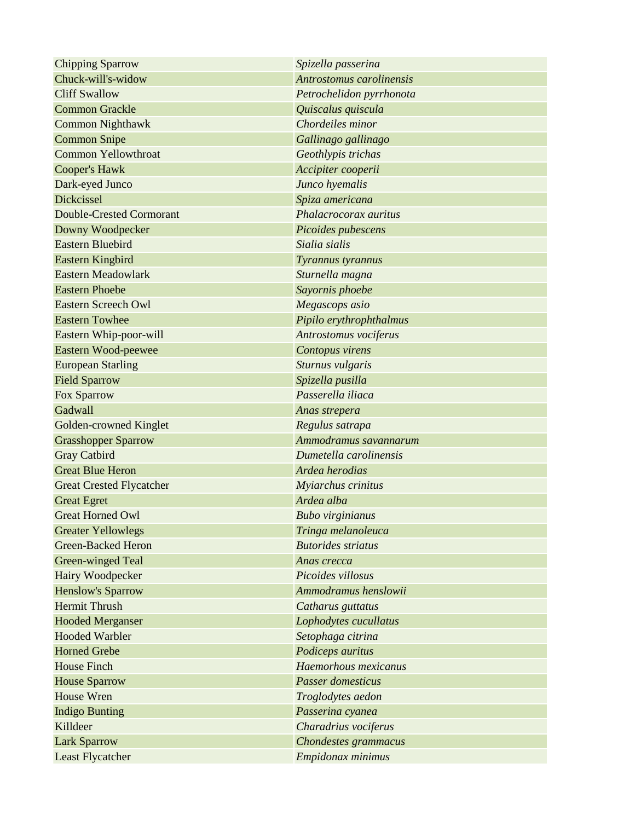| <b>Chipping Sparrow</b>         | Spizella passerina        |
|---------------------------------|---------------------------|
| Chuck-will's-widow              | Antrostomus carolinensis  |
| <b>Cliff Swallow</b>            | Petrochelidon pyrrhonota  |
| <b>Common Grackle</b>           | Quiscalus quiscula        |
| <b>Common Nighthawk</b>         | Chordeiles minor          |
| <b>Common Snipe</b>             | Gallinago gallinago       |
| <b>Common Yellowthroat</b>      | Geothlypis trichas        |
| <b>Cooper's Hawk</b>            | Accipiter cooperii        |
| Dark-eyed Junco                 | Junco hyemalis            |
| <b>Dickcissel</b>               | Spiza americana           |
| <b>Double-Crested Cormorant</b> | Phalacrocorax auritus     |
| Downy Woodpecker                | Picoides pubescens        |
| <b>Eastern Bluebird</b>         | Sialia sialis             |
| Eastern Kingbird                | Tyrannus tyrannus         |
| <b>Eastern Meadowlark</b>       | Sturnella magna           |
| <b>Eastern Phoebe</b>           | Sayornis phoebe           |
| <b>Eastern Screech Owl</b>      | Megascops asio            |
| <b>Eastern Towhee</b>           | Pipilo erythrophthalmus   |
| Eastern Whip-poor-will          | Antrostomus vociferus     |
| Eastern Wood-peewee             | Contopus virens           |
| <b>European Starling</b>        | Sturnus vulgaris          |
| <b>Field Sparrow</b>            | Spizella pusilla          |
| Fox Sparrow                     | Passerella iliaca         |
| Gadwall                         | Anas strepera             |
| Golden-crowned Kinglet          | Regulus satrapa           |
| <b>Grasshopper Sparrow</b>      | Ammodramus savannarum     |
| <b>Gray Catbird</b>             | Dumetella carolinensis    |
| <b>Great Blue Heron</b>         | Ardea herodias            |
| <b>Great Crested Flycatcher</b> | Myiarchus crinitus        |
| <b>Great Egret</b>              | Ardea alba                |
| <b>Great Horned Owl</b>         | <b>Bubo</b> virginianus   |
| <b>Greater Yellowlegs</b>       | Tringa melanoleuca        |
| <b>Green-Backed Heron</b>       | <b>Butorides striatus</b> |
| Green-winged Teal               | Anas crecca               |
| Hairy Woodpecker                | Picoides villosus         |
| <b>Henslow's Sparrow</b>        | Ammodramus henslowii      |
| <b>Hermit Thrush</b>            | Catharus guttatus         |
| <b>Hooded Merganser</b>         | Lophodytes cucullatus     |
| <b>Hooded Warbler</b>           | Setophaga citrina         |
| <b>Horned Grebe</b>             | Podiceps auritus          |
| <b>House Finch</b>              | Haemorhous mexicanus      |
| <b>House Sparrow</b>            | <b>Passer domesticus</b>  |
| House Wren                      | Troglodytes aedon         |
| <b>Indigo Bunting</b>           | Passerina cyanea          |
| Killdeer                        | Charadrius vociferus      |
| <b>Lark Sparrow</b>             | Chondestes grammacus      |
| Least Flycatcher                | Empidonax minimus         |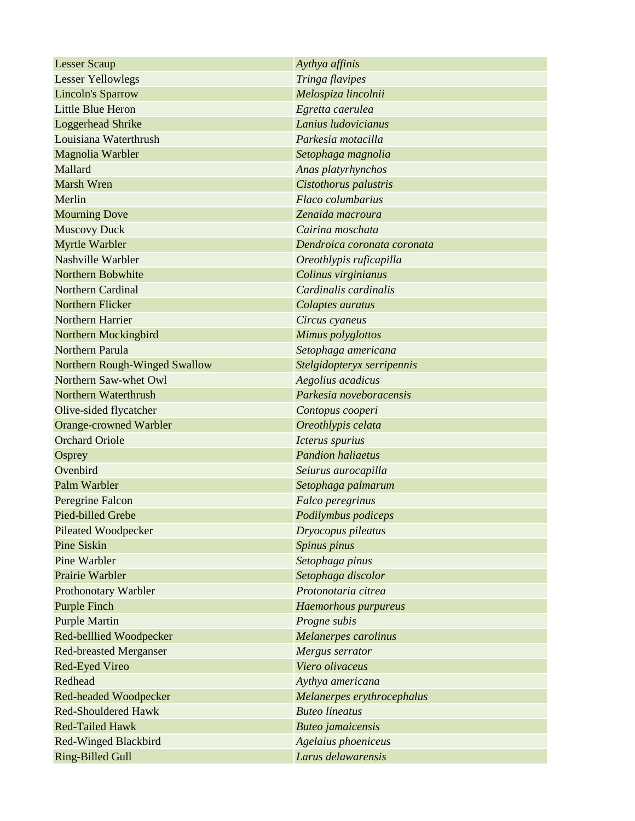| <b>Lesser Scaup</b>           | Aythya affinis              |
|-------------------------------|-----------------------------|
| <b>Lesser Yellowlegs</b>      | Tringa flavipes             |
| <b>Lincoln's Sparrow</b>      | Melospiza lincolnii         |
| <b>Little Blue Heron</b>      | Egretta caerulea            |
| <b>Loggerhead Shrike</b>      | Lanius ludovicianus         |
| Louisiana Waterthrush         | Parkesia motacilla          |
| Magnolia Warbler              | Setophaga magnolia          |
| Mallard                       | Anas platyrhynchos          |
| <b>Marsh Wren</b>             | Cistothorus palustris       |
| Merlin                        | Flaco columbarius           |
| <b>Mourning Dove</b>          | Zenaida macroura            |
| <b>Muscovy Duck</b>           | Cairina moschata            |
| Myrtle Warbler                | Dendroica coronata coronata |
| Nashville Warbler             | Oreothlypis ruficapilla     |
| Northern Bobwhite             | Colinus virginianus         |
| <b>Northern Cardinal</b>      | Cardinalis cardinalis       |
| Northern Flicker              | Colaptes auratus            |
| Northern Harrier              | Circus cyaneus              |
| Northern Mockingbird          | Mimus polyglottos           |
| Northern Parula               | Setophaga americana         |
| Northern Rough-Winged Swallow | Stelgidopteryx serripennis  |
| Northern Saw-whet Owl         | Aegolius acadicus           |
| Northern Waterthrush          | Parkesia noveboracensis     |
| Olive-sided flycatcher        | Contopus cooperi            |
| <b>Orange-crowned Warbler</b> | Oreothlypis celata          |
| <b>Orchard Oriole</b>         | Icterus spurius             |
| Osprey                        | <b>Pandion haliaetus</b>    |
| Ovenbird                      | Seiurus aurocapilla         |
| Palm Warbler                  | Setophaga palmarum          |
| Peregrine Falcon              | Falco peregrinus            |
| Pied-billed Grebe             | Podilymbus podiceps         |
| <b>Pileated Woodpecker</b>    | Dryocopus pileatus          |
| <b>Pine Siskin</b>            | Spinus pinus                |
| <b>Pine Warbler</b>           | Setophaga pinus             |
| Prairie Warbler               | Setophaga discolor          |
| Prothonotary Warbler          | Protonotaria citrea         |
| <b>Purple Finch</b>           | Haemorhous purpureus        |
| <b>Purple Martin</b>          | Progne subis                |
| Red-belllied Woodpecker       | Melanerpes carolinus        |
| <b>Red-breasted Merganser</b> | Mergus serrator             |
| <b>Red-Eyed Vireo</b>         | Viero olivaceus             |
| Redhead                       | Aythya americana            |
| Red-headed Woodpecker         | Melanerpes erythrocephalus  |
| <b>Red-Shouldered Hawk</b>    | <b>Buteo lineatus</b>       |
| <b>Red-Tailed Hawk</b>        | <b>Buteo</b> jamaicensis    |
| <b>Red-Winged Blackbird</b>   | Agelaius phoeniceus         |
| <b>Ring-Billed Gull</b>       | Larus delawarensis          |